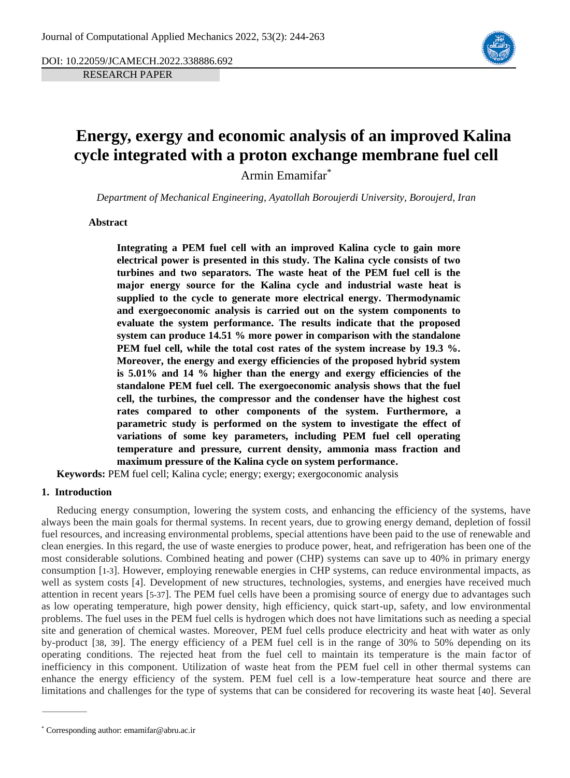DOI: 10.22059/JCAMECH.2022.338886.692 RESEARCH PAPER



# **Energy, exergy and economic analysis of an improved Kalina cycle integrated with a proton exchange membrane fuel cell**

Armin Emamifar\*

*Department of Mechanical Engineering, Ayatollah Boroujerdi University, Boroujerd, Iran*

**Abstract**

**Integrating a PEM fuel cell with an improved Kalina cycle to gain more electrical power is presented in this study. The Kalina cycle consists of two turbines and two separators. The waste heat of the PEM fuel cell is the major energy source for the Kalina cycle and industrial waste heat is supplied to the cycle to generate more electrical energy. Thermodynamic and exergoeconomic analysis is carried out on the system components to evaluate the system performance. The results indicate that the proposed system can produce 14.51 % more power in comparison with the standalone PEM fuel cell, while the total cost rates of the system increase by 19.3 %. Moreover, the energy and exergy efficiencies of the proposed hybrid system is 5.01% and 14 % higher than the energy and exergy efficiencies of the standalone PEM fuel cell. The exergoeconomic analysis shows that the fuel cell, the turbines, the compressor and the condenser have the highest cost rates compared to other components of the system. Furthermore, a parametric study is performed on the system to investigate the effect of variations of some key parameters, including PEM fuel cell operating temperature and pressure, current density, ammonia mass fraction and maximum pressure of the Kalina cycle on system performance.** 

**Keywords:** PEM fuel cell; Kalina cycle; energy; exergy; exergoconomic analysis

#### **1. Introduction**

Reducing energy consumption, lowering the system costs, and enhancing the efficiency of the systems, have always been the main goals for thermal systems. In recent years, due to growing energy demand, depletion of fossil fuel resources, and increasing environmental problems, special attentions have been paid to the use of renewable and clean energies. In this regard, the use of waste energies to produce power, heat, and refrigeration has been one of the most considerable solutions. Combined heating and power (CHP) systems can save up to 40% in primary energy consumption [[1-3](#page-15-0)]. However, employing renewable energies in CHP systems, can reduce environmental impacts, as well as system costs [[4](#page-16-0)]. Development of new structures, technologies, systems, and energies have received much attention in recent years [[5-37](#page-16-1)]. The PEM fuel cells have been a promising source of energy due to advantages such as low operating temperature, high power density, high efficiency, quick start-up, safety, and low environmental problems. The fuel uses in the PEM fuel cells is hydrogen which does not have limitations such as needing a special site and generation of chemical wastes. Moreover, PEM fuel cells produce electricity and heat with water as only by-product [[38](#page-17-0), [39](#page-17-1)]. The energy efficiency of a PEM fuel cell is in the range of 30% to 50% depending on its operating conditions. The rejected heat from the fuel cell to maintain its temperature is the main factor of inefficiency in this component. Utilization of waste heat from the PEM fuel cell in other thermal systems can enhance the energy efficiency of the system. PEM fuel cell is a low-temperature heat source and there are limitations and challenges for the type of systems that can be considered for recovering its waste heat [[40](#page-18-0)]. Several

<sup>\*</sup> Corresponding author: emamifar@abru.ac.ir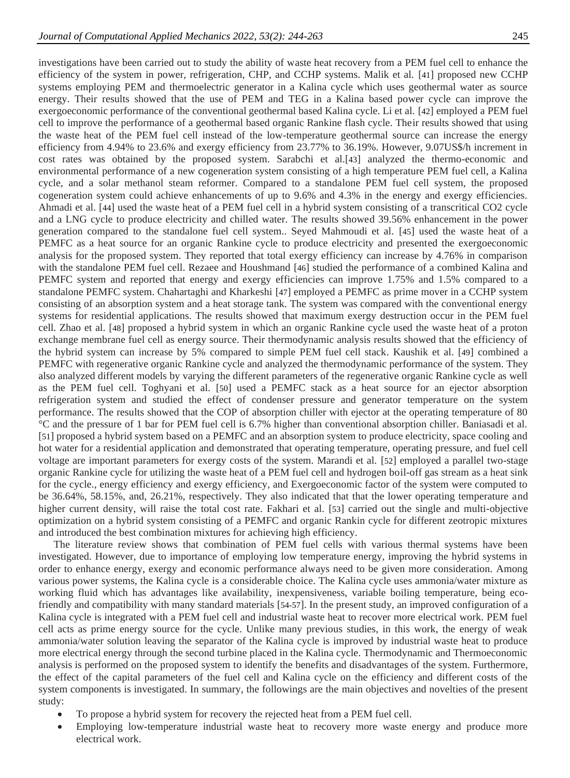investigations have been carried out to study the ability of waste heat recovery from a PEM fuel cell to enhance the efficiency of the system in power, refrigeration, CHP, and CCHP systems. Malik et al. [[41](#page-18-1)] proposed new CCHP systems employing PEM and thermoelectric generator in a Kalina cycle which uses geothermal water as source energy. Their results showed that the use of PEM and TEG in a Kalina based power cycle can improve the exergoeconomic performance of the conventional geothermal based Kalina cycle. Li et al. [[42](#page-18-2)] employed a PEM fuel cell to improve the performance of a geothermal based organic Rankine flash cycle. Their results showed that using the waste heat of the PEM fuel cell instead of the low-temperature geothermal source can increase the energy efficiency from 4.94% to 23.6% and exergy efficiency from 23.77% to 36.19%. However, 9.07US\$/h increment in cost rates was obtained by the proposed system. Sarabchi et al.[[43](#page-18-3)] analyzed the thermo-economic and environmental performance of a new cogeneration system consisting of a high temperature PEM fuel cell, a Kalina cycle, and a solar methanol steam reformer. Compared to a standalone PEM fuel cell system, the proposed cogeneration system could achieve enhancements of up to 9.6% and 4.3% in the energy and exergy efficiencies. Ahmadi et al. [[44](#page-18-4)] used the waste heat of a PEM fuel cell in a hybrid system consisting of a transcritical CO2 cycle and a LNG cycle to produce electricity and chilled water. The results showed 39.56% enhancement in the power generation compared to the standalone fuel cell system.. Seyed Mahmoudi et al. [[45](#page-18-5)] used the waste heat of a PEMFC as a heat source for an organic Rankine cycle to produce electricity and presented the exergoeconomic analysis for the proposed system. They reported that total exergy efficiency can increase by 4.76% in comparison with the standalone PEM fuel cell. Rezaee and Houshmand [[46](#page-18-6)] studied the performance of a combined Kalina and PEMFC system and reported that energy and exergy efficiencies can improve 1.75% and 1.5% compared to a standalone PEMFC system. Chahartaghi and Kharkeshi [[47](#page-18-7)] employed a PEMFC as prime mover in a CCHP system consisting of an absorption system and a heat storage tank. The system was compared with the conventional energy systems for residential applications. The results showed that maximum exergy destruction occur in the PEM fuel cell. Zhao et al. [[48](#page-18-8)] proposed a hybrid system in which an organic Rankine cycle used the waste heat of a proton exchange membrane fuel cell as energy source. Their thermodynamic analysis results showed that the efficiency of the hybrid system can increase by 5% compared to simple PEM fuel cell stack. Kaushik et al. [[49](#page-18-9)] combined a PEMFC with regenerative organic Rankine cycle and analyzed the thermodynamic performance of the system. They also analyzed different models by varying the different parameters of the regenerative organic Rankine cycle as well as the PEM fuel cell. Toghyani et al. [[50](#page-18-10)] used a PEMFC stack as a heat source for an ejector absorption refrigeration system and studied the effect of condenser pressure and generator temperature on the system performance. The results showed that the COP of absorption chiller with ejector at the operating temperature of 80 °C and the pressure of 1 bar for PEM fuel cell is 6.7% higher than conventional absorption chiller. Baniasadi et al. [[51](#page-18-11)] proposed a hybrid system based on a PEMFC and an absorption system to produce electricity, space cooling and hot water for a residential application and demonstrated that operating temperature, operating pressure, and fuel cell voltage are important parameters for exergy costs of the system. Marandi et al. [[52](#page-18-12)] employed a parallel two-stage organic Rankine cycle for utilizing the waste heat of a PEM fuel cell and hydrogen boil-off gas stream as a heat sink for the cycle., energy efficiency and exergy efficiency, and Exergoeconomic factor of the system were computed to be 36.64%, 58.15%, and, 26.21%, respectively. They also indicated that that the lower operating temperature and higher current density, will raise the total cost rate. Fakhari et al. [[53](#page-18-13)] carried out the single and multi-objective optimization on a hybrid system consisting of a PEMFC and organic Rankin cycle for different zeotropic mixtures and introduced the best combination mixtures for achieving high efficiency.

The literature review shows that combination of PEM fuel cells with various thermal systems have been investigated. However, due to importance of employing low temperature energy, improving the hybrid systems in order to enhance energy, exergy and economic performance always need to be given more consideration. Among various power systems, the Kalina cycle is a considerable choice. The Kalina cycle uses ammonia/water mixture as working fluid which has advantages like availability, inexpensiveness, variable boiling temperature, being ecofriendly and compatibility with many standard materials [[54-57](#page-18-14)]. In the present study, an improved configuration of a Kalina cycle is integrated with a PEM fuel cell and industrial waste heat to recover more electrical work. PEM fuel cell acts as prime energy source for the cycle. Unlike many previous studies, in this work, the energy of weak ammonia/water solution leaving the separator of the Kalina cycle is improved by industrial waste heat to produce more electrical energy through the second turbine placed in the Kalina cycle. Thermodynamic and Thermoeconomic analysis is performed on the proposed system to identify the benefits and disadvantages of the system. Furthermore, the effect of the capital parameters of the fuel cell and Kalina cycle on the efficiency and different costs of the system components is investigated. In summary, the followings are the main objectives and novelties of the present study:

- To propose a hybrid system for recovery the rejected heat from a PEM fuel cell.
- Employing low-temperature industrial waste heat to recovery more waste energy and produce more electrical work.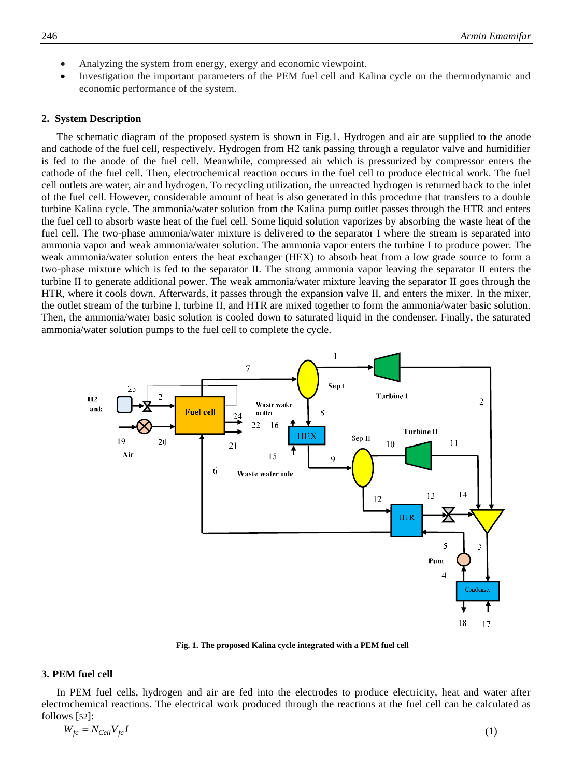- Analyzing the system from energy, exergy and economic viewpoint.
- Investigation the important parameters of the PEM fuel cell and Kalina cycle on the thermodynamic and economic performance of the system.

#### **2. System Description**

The schematic diagram of the proposed system is shown in Fig.1. Hydrogen and air are supplied to the anode and cathode of the fuel cell, respectively. Hydrogen from H2 tank passing through a regulator valve and humidifier is fed to the anode of the fuel cell. Meanwhile, compressed air which is pressurized by compressor enters the cathode of the fuel cell. Then, electrochemical reaction occurs in the fuel cell to produce electrical work. The fuel cell outlets are water, air and hydrogen. To recycling utilization, the unreacted hydrogen is returned back to the inlet of the fuel cell. However, considerable amount of heat is also generated in this procedure that transfers to a double turbine Kalina cycle. The ammonia/water solution from the Kalina pump outlet passes through the HTR and enters the fuel cell to absorb waste heat of the fuel cell. Some liquid solution vaporizes by absorbing the waste heat of the fuel cell. The two-phase ammonia/water mixture is delivered to the separator I where the stream is separated into ammonia vapor and weak ammonia/water solution. The ammonia vapor enters the turbine I to produce power. The weak ammonia/water solution enters the heat exchanger (HEX) to absorb heat from a low grade source to form a two-phase mixture which is fed to the separator II. The strong ammonia vapor leaving the separator II enters the turbine II to generate additional power. The weak ammonia/water mixture leaving the separator II goes through the HTR, where it cools down. Afterwards, it passes through the expansion valve II, and enters the mixer. In the mixer, the outlet stream of the turbine I, turbine II, and HTR are mixed together to form the ammonia/water basic solution. Then, the ammonia/water basic solution is cooled down to saturated liquid in the condenser. Finally, the saturated ammonia/water solution pumps to the fuel cell to complete the cycle.



**Fig. 1. The proposed Kalina cycle integrated with a PEM fuel cell**

#### **3. PEM fuel cell**

In PEM fuel cells, hydrogen and air are fed into the electrodes to produce electricity, heat and water after electrochemical reactions. The electrical work produced through the reactions at the fuel cell can be calculated as follows [[52](#page-18-12)]:

$$
W_{fc} = N_{Cell} V_{fc} I \tag{1}
$$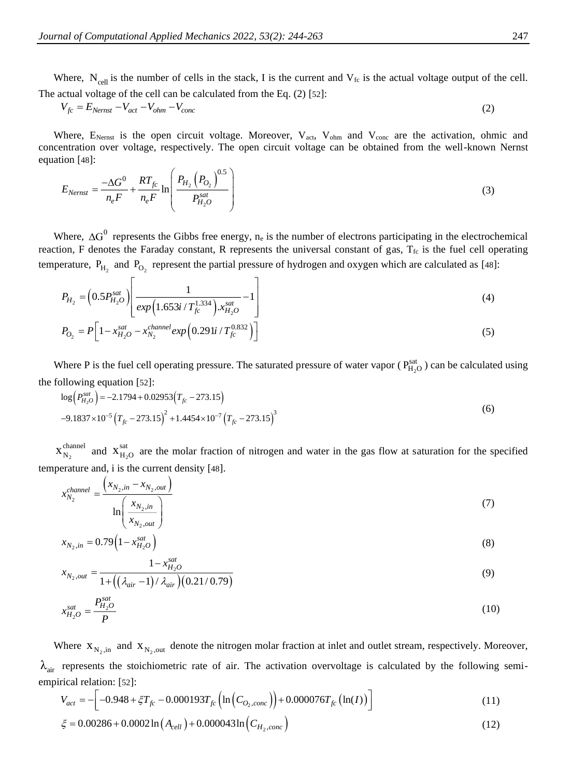Where,  $N_{cell}$  is the number of cells in the stack, I is the current and  $V_{fc}$  is the actual voltage output of the cell. The actual voltage of the cell can be calculated from the Eq. (2) [[52](#page-18-12)]:

$$
V_{fc} = E_{Nernst} - V_{act} - V_{ohm} - V_{conc}
$$
\n
$$
\tag{2}
$$

Where,  $E_{\text{Nernst}}$  is the open circuit voltage. Moreover,  $V_{\text{act}}$ ,  $V_{\text{ohm}}$  and  $V_{\text{conc}}$  are the activation, ohmic and concentration over voltage, respectively. The open circuit voltage can be obtained from the well-known Nernst equation [[48](#page-18-8)]:

$$
E_{Nernst} = \frac{-\Delta G^0}{n_e F} + \frac{RT_{fc}}{n_e F} \ln \left( \frac{P_{H_2} (P_{O_2})^{0.5}}{P_{H_2O}^{sat}} \right)
$$
(3)

Where,  $\Delta G^0$  represents the Gibbs free energy, n<sub>e</sub> is the number of electrons participating in the electrochemical reaction, F denotes the Faraday constant, R represents the universal constant of gas,  $T_{fc}$  is the fuel cell operating temperature,  $P_{H_2}$  and  $P_{O_2}$  represent the partial pressure of hydrogen and oxygen which are calculated as [[48](#page-18-8)]:

$$
P_{H_2} = \left(0.5 P_{H_2O}^{sat}\right) \left[\frac{1}{exp\left(1.653i / T_{fc}^{1.334}\right) . x_{H_2O}^{sat}} - 1\right]
$$
\n<sup>(4)</sup>

$$
P_{O_2} = P \left[ 1 - x_{H_2O}^{sat} - x_{N_2}^{channel} \exp \left( 0.291i / T_{fc}^{0.832} \right) \right]
$$
 (5)

Where P is the fuel cell operating pressure. The saturated pressure of water vapor ( $P_{H_2O}^{sat}$ ) can be calculated using the following equation [[52](#page-18-12)]:

$$
\log \left( P_{H_2 O}^{sat} \right) = -2.1794 + 0.02953 \left( T_{fc} - 273.15 \right)
$$
  
-9.1837×10<sup>-5</sup>  $\left( T_{fc} - 273.15 \right)^2 + 1.4454 \times 10^{-7} \left( T_{fc} - 273.15 \right)^3$  (6)

2 channel  $X_{N_2}^{\text{channel}}$  and  $X_{H_2}^{\text{sat}}$  $X_{H_2O}^{sat}$  are the molar fraction of nitrogen and water in the gas flow at saturation for the specified temperature and, i is the current density [[48](#page-18-8)].

$$
x_{N_2}^{channel} = \frac{\left(x_{N_2,in} - x_{N_2,out}\right)}{\ln\left(\frac{x_{N_2,in}}{x_{N_2,out}}\right)}
$$
\n<sup>(7)</sup>

$$
x_{N_2,in} = 0.79 \left(1 - x_{H_2O}^{sat}\right) \tag{8}
$$

$$
x_{N_2,out} = \frac{1 - x_{H_2O}^{sat}}{1 + \left( \left( \lambda_{air} - 1 \right) / \lambda_{air} \right) \left( 0.21 / 0.79 \right)} \tag{9}
$$

$$
x_{H_2O}^{sat} = \frac{P_{H_2O}^{sat}}{P} \tag{10}
$$

Where  $X_{N_2,in}$  and  $X_{N_2,out}$  denote the nitrogen molar fraction at inlet and outlet stream, respectively. Moreover,  $\lambda_{\text{air}}$  represents the stoichiometric rate of air. The activation overvoltage is calculated by the following semi-<br>empirical relation: [52]:<br> $V_{act} = -\left[ -0.948 + \zeta T_{fc} - 0.000193T_{fc} \left( \ln(C_{O_2, conc}) \right) + 0.000076T_{fc} \left( \ln(I) \right$ empirical relation: [52]:

$$
V_{act} = -\left[-0.948 + \xi T_{fc} - 0.000193T_{fc}\left(\ln\left(C_{O_2, conc}\right)\right) + 0.000076T_{fc}\left(\ln(I)\right)\right]
$$
(11)

$$
\xi = 0.00286 + 0.0002 \ln(A_{cell}) + 0.000043 \ln(C_{H_2,conc})
$$
\n(12)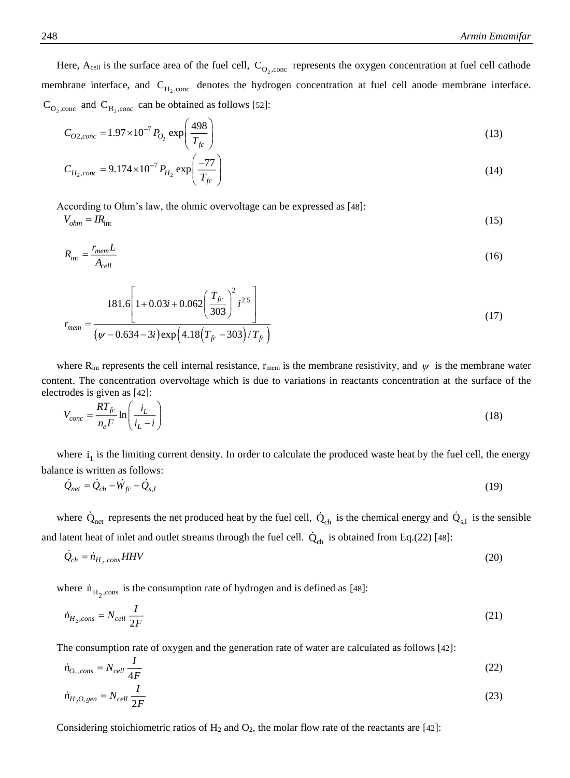(15)

Here,  $A_{cell}$  is the surface area of the fuel cell,  $C_{O_2, cone}$  represents the oxygen concentration at fuel cell cathode membrane interface, and C<sub>H<sub>2</sub>,conc</sub> denotes the hydrogen concentration at fuel cell anode membrane interface.  $C_{O_2,cone}$  and  $C_{H_2,cone}$  can be obtained as follows [[52](#page-18-12)]:

$$
C_{O2,conc} = 1.97 \times 10^{-7} P_{O_2} \exp\left(\frac{498}{T_{fc}}\right)
$$
 (13)

$$
C_{H_2,conc} = 9.174 \times 10^{-7} P_{H_2} \exp\left(\frac{-77}{T_{fc}}\right)
$$
 (14)

According to Ohm's law, the ohmic overvoltage can be expressed as [[48](#page-18-8)]:

 $V_{ohm} = IR_{\text{int}}$ 

$$
R_{\rm int} = \frac{r_{\rm mem}L}{A_{cell}}\tag{16}
$$

$$
r_{mem} = \frac{181.6 \left[ 1 + 0.03i + 0.062 \left( \frac{T_{fc}}{303} \right)^2 i^{2.5} \right]}{(\psi - 0.634 - 3i) \exp\left( 4.18 \left( T_{fc} - 303 \right) / T_{fc} \right)}
$$
(17)

where  $R_{int}$  represents the cell internal resistance,  $r_{mem}$  is the membrane resistivity, and  $\psi$  is the membrane water content. The concentration overvoltage which is due to variations in reactants concentration at the surface of the electrodes is given as [[42](#page-18-2)]:

$$
V_{conc} = \frac{RT_{fc}}{n_e F} \ln\left(\frac{i_L}{i_L - i}\right) \tag{18}
$$

where  $i_L$  is the limiting current density. In order to calculate the produced waste heat by the fuel cell, the energy balance is written as follows:

$$
Q_{net} = Q_{ch} - W_{fc} - Q_{s,l} \tag{19}
$$

where  $Q_{net}$  represents the net produced heat by the fuel cell,  $Q_{ch}$  is the chemical energy and  $Q_{s,l}$  is the sensible and latent heat of inlet and outlet streams through the fuel cell.  $Q_{ch}$  is obtained from Eq.(22) [[48](#page-18-8)]:

$$
Q_{ch} = \dot{n}_{H_2, cons} HHV
$$
\n<sup>(20)</sup>

where  $\dot{n}_{H_2,\text{cons}}$  is the consumption rate of hydrogen and is defined as [[48](#page-18-8)]:

$$
\dot{n}_{H_2,cons} = N_{cell} \frac{I}{2F} \tag{21}
$$

The consumption rate of oxygen and the generation rate of water are calculated as follows [[42](#page-18-2)]:

$$
\dot{n}_{O_2,cons} = N_{cell} \frac{I}{4F} \tag{22}
$$

$$
\dot{n}_{H_2O,gen} = N_{cell} \frac{I}{2F} \tag{23}
$$

Considering stoichiometric ratios of  $H_2$  and  $O_2$ , the molar flow rate of the reactants are [[42](#page-18-2)]: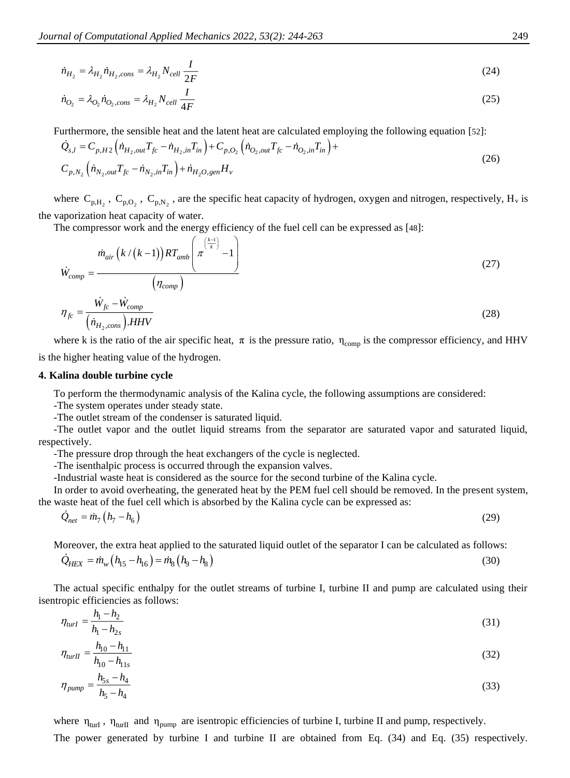$$
\dot{n}_{H_2} = \lambda_{H_2} \dot{n}_{H_2,cons} = \lambda_{H_2} N_{cell} \frac{I}{2F}
$$
\n(24)

$$
\dot{n}_{O_2} = \lambda_{O_2} \dot{n}_{O_2, cons} = \lambda_{H_2} N_{cell} \frac{I}{4F}
$$
\n(25)

Furthermore, the sensible heat and the latent heat are calculated employing the following equation [[52](#page-18-12)]:

$$
\dot{Q}_{s,l} = C_{p,H2} \left( \dot{n}_{H_2, out} T_{fc} - \dot{n}_{H_2, in} T_{in} \right) + C_{p,O_2} \left( \dot{n}_{O_2, out} T_{fc} - \dot{n}_{O_2, in} T_{in} \right) + \n C_{p,N_2} \left( \dot{n}_{N_2,out} T_{fc} - \dot{n}_{N_2,in} T_{in} \right) + \dot{n}_{H_2O, gen} H_v
$$
\n(26)

where  $C_{p,H_2}$ ,  $C_{p,O_2}$ ,  $C_{p,N_2}$ , are the specific heat capacity of hydrogen, oxygen and nitrogen, respectively,  $H_v$  is the vaporization heat capacity of water.

The compressor work and the energy efficiency of the fuel cell can be expressed as [[48](#page-18-8)]:

$$
\dot{W}_{comp} = \frac{\dot{m}_{air} \left( k / (k - 1) \right) RT_{amb} \left( \pi \frac{\left( \frac{k - 1}{k} \right)}{k} - 1 \right)}{\left( \eta_{comp} \right)}
$$
\n
$$
\eta_{fc} = \frac{\dot{W}_{fc} - \dot{W}_{comp}}{\left( \dot{n}_{H_2,cons} \right) . HHV}
$$
\n(28)

where k is the ratio of the air specific heat,  $\pi$  is the pressure ratio,  $\eta_{\text{comp}}$  is the compressor efficiency, and HHV is the higher heating value of the hydrogen.

#### **4. Kalina double turbine cycle**

To perform the thermodynamic analysis of the Kalina cycle, the following assumptions are considered:

-The system operates under steady state.

-The outlet stream of the condenser is saturated liquid.

-The outlet vapor and the outlet liquid streams from the separator are saturated vapor and saturated liquid, respectively.

-The pressure drop through the heat exchangers of the cycle is neglected.

-The isenthalpic process is occurred through the expansion valves.

-Industrial waste heat is considered as the source for the second turbine of the Kalina cycle.

In order to avoid overheating, the generated heat by the PEM fuel cell should be removed. In the present system, the waste heat of the fuel cell which is absorbed by the Kalina cycle can be expressed as:

$$
Q_{net} = m_7 \left( h_7 - h_6 \right) \tag{29}
$$

Moreover, the extra heat applied to the saturated liquid outlet of the separator I can be calculated as follows:

$$
\dot{Q}_{HEX} = \dot{m}_w \left( h_{15} - h_{16} \right) = \dot{m}_8 \left( h_9 - h_8 \right) \tag{30}
$$

The actual specific enthalpy for the outlet streams of turbine I, turbine II and pump are calculated using their isentropic efficiencies as follows:

$$
\eta_{turl} = \frac{h_1 - h_2}{h_1 - h_{2s}}\tag{31}
$$

$$
\eta_{\text{turII}} = \frac{h_{10} - h_{11}}{1} \tag{32}
$$

$$
h_{10} - h_{11s}
$$

$$
\eta_{pump} = \frac{n_{5s} - n_4}{h_5 - h_4} \tag{33}
$$

where  $\eta_{\text{turl}}$ ,  $\eta_{\text{turl}}$  and  $\eta_{\text{pump}}$  are isentropic efficiencies of turbine I, turbine II and pump, respectively.

The power generated by turbine I and turbine II are obtained from Eq. (34) and Eq. (35) respectively.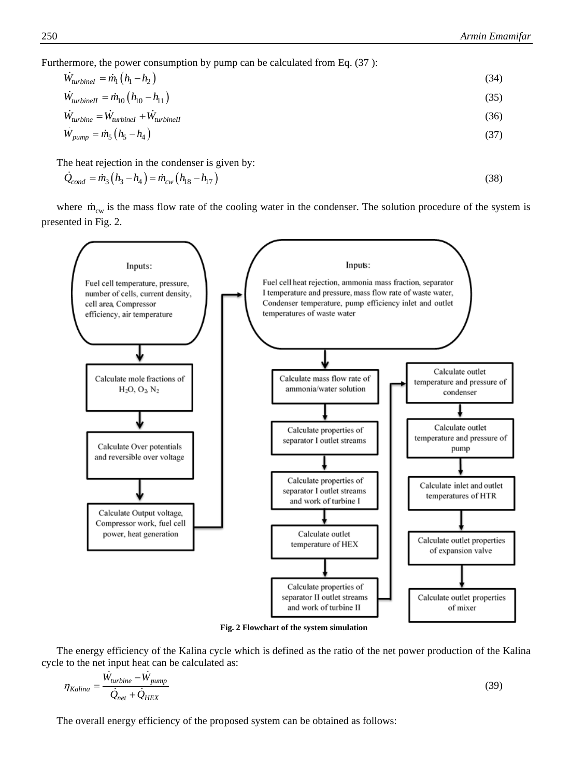Furthermore, the power consumption by pump can be calculated from Eq. (37):

$$
\dot{W}_{turbinel} = \dot{m}_1 (h_1 - h_2) \tag{34}
$$
\n
$$
\dot{W}_{turbinel} = \dot{m}_1 (h_1 - h_1) \tag{35}
$$

$$
\dot{W}_{turbine} = \dot{W}_{turbinel} + \dot{W}_{turbinel}
$$
\n(36)

$$
\dot{W}_{pump} = \dot{m}_5 \left( h_5 - h_4 \right) \tag{37}
$$

The heat rejection in the condenser is given by:

$$
Q_{cond} = m_3 (h_3 - h_4) = m_{cw} (h_{18} - h_{17})
$$
\n(38)

where  $\dot{m}_{cw}$  is the mass flow rate of the cooling water in the condenser. The solution procedure of the system is presented in Fig. 2.



**Fig. 2 Flowchart of the system simulation**

The energy efficiency of the Kalina cycle which is defined as the ratio of the net power production of the Kalina cycle to the net input heat can be calculated as:

$$
\eta_{Kalina} = \frac{W_{turbine} - W_{pump}}{\dot{Q}_{net} + \dot{Q}_{HEX}}\tag{39}
$$

The overall energy efficiency of the proposed system can be obtained as follows: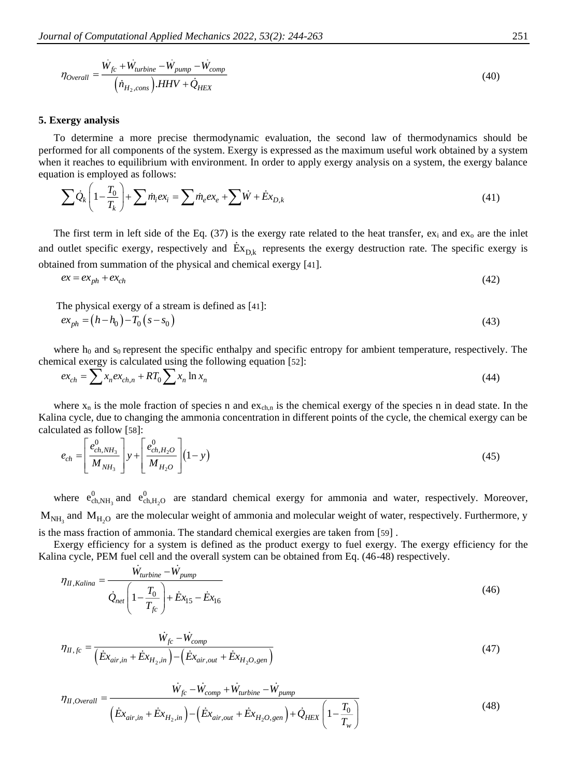$$
\eta_{Overall} = \frac{\dot{W}_{fc} + \dot{W}_{turbine} - \dot{W}_{pump} - \dot{W}_{comp}}{\left(\dot{n}_{H_2, cons}\right).HHV + \dot{Q}_{HEX}}\tag{40}
$$

#### **5. Exergy analysis**

To determine a more precise thermodynamic evaluation, the second law of thermodynamics should be performed for all components of the system. Exergy is expressed as the maximum useful work obtained by a system when it reaches to equilibrium with environment. In order to apply exergy analysis on a system, the exergy balance equation is employed as follows:

$$
\sum \dot{Q}_k \left( 1 - \frac{T_0}{T_k} \right) + \sum \dot{m}_i e x_i = \sum \dot{m}_e e x_e + \sum \dot{W} + \dot{E} x_{D,k}
$$
\n(41)

The first term in left side of the Eq. (37) is the exergy rate related to the heat transfer,  $ex_i$  and  $ex_o$  are the inlet and outlet specific exergy, respectively and  $Ex_{D,k}$  represents the exergy destruction rate. The specific exergy is obtained from summation of the physical and chemical exergy [[41](#page-18-1)].

$$
ex = ex_{ph} + ex_{ch}
$$
 (42)

The physical exergy of a stream is defined as [[41](#page-18-1)]:

$$
ex_{ph} = (h - h_0) - T_0 (s - s_0)
$$
\n(43)

where  $h_0$  and s<sub>0</sub> represent the specific enthalpy and specific entropy for ambient temperature, respectively. The chemical exergy is calculated using the following equation [[52](#page-18-12)]:

$$
ex_{ch} = \sum x_n ex_{ch,n} + RT_0 \sum x_n \ln x_n \tag{44}
$$

where  $x_n$  is the mole fraction of species n and  $ex_{ch,n}$  is the chemical exergy of the species n in dead state. In the Kalina cycle, due to changing the ammonia concentration in different points of the cycle, the chemical exergy can be calculated as follow [[58](#page-18-15)]:

$$
e_{ch} = \left[\frac{e_{ch,NH_3}^0}{M_{NH_3}}\right] y + \left[\frac{e_{ch,H_2O}^0}{M_{H_2O}}\right] (1-y) \tag{45}
$$

where  $e_{ch,NH_3}^0$  $e_{ch,NH_3}^0$  and  $e_{ch,H_2}^0$  $e_{ch,H,O}^{0}$  are standard chemical exergy for ammonia and water, respectively. Moreover,  $M_{NH_3}$  and  $M_{H_2O}$  are the molecular weight of ammonia and molecular weight of water, respectively. Furthermore, y is the mass fraction of ammonia. The standard chemical exergies are taken from [[59](#page-18-16)] .

Exergy efficiency for a system is defined as the product exergy to fuel exergy. The exergy efficiency for the Kalina cycle, PEM fuel cell and the overall system can be obtained from Eq. (46-48) respectively.

$$
\eta_{II, Kalina} = \frac{W_{turbine} - W_{pump}}{\dot{Q}_{net} \left(1 - \frac{T_0}{T_{fc}}\right) + \dot{E}x_{15} - \dot{E}x_{16}}
$$
\n
$$
(46)
$$

$$
\eta_{H,fc} = \frac{\dot{W}_{fc} - \dot{W}_{comp}}{\left(\dot{E}x_{air,in} + \dot{E}x_{H_2,in}\right) - \left(\dot{E}x_{air,out} + \dot{E}x_{H_2O,gen}\right)}
$$
(47)

$$
\eta_{II,Overall} = \frac{\dot{W}_{fc} - \dot{W}_{comp} + \dot{W}_{turbine} - \dot{W}_{pump}}{\left(\dot{E}x_{air,in} + \dot{E}x_{H_2,in}\right) - \left(\dot{E}x_{air,out} + \dot{E}x_{H_2O,gen}\right) + \dot{Q}_{HEX}\left(1 - \frac{T_0}{T_w}\right)}
$$
(48)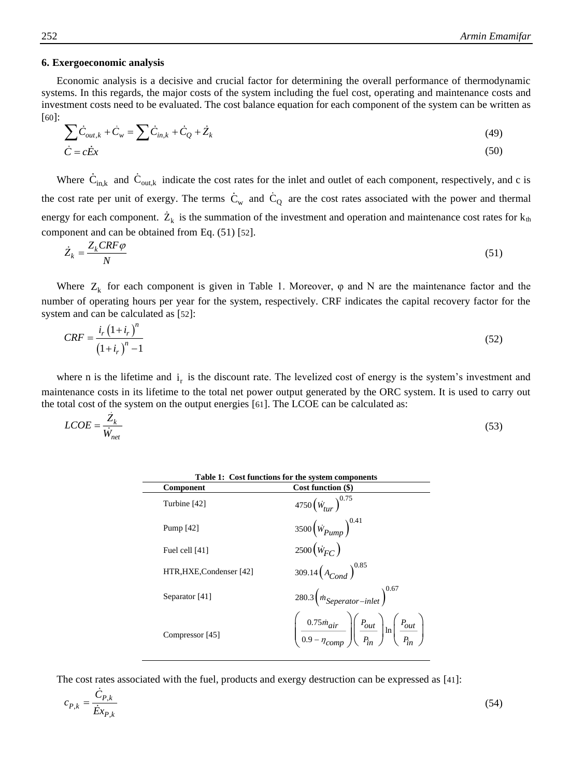#### **6. Exergoeconomic analysis**

Economic analysis is a decisive and crucial factor for determining the overall performance of thermodynamic systems. In this regards, the major costs of the system including the fuel cost, operating and maintenance costs and investment costs need to be evaluated. The cost balance equation for each component of the system can be written as [[60](#page-19-0)]:

$$
\sum \dot{C}_{out,k} + \dot{C}_w = \sum \dot{C}_{in,k} + \dot{C}_Q + \dot{Z}_k
$$
\n
$$
\dot{C} = c\dot{E}x
$$
\n(49)

Where  $C_{in,k}$  and  $C_{out,k}$  indicate the cost rates for the inlet and outlet of each component, respectively, and c is the cost rate per unit of exergy. The terms  $C_w$  and  $C_Q$  are the cost rates associated with the power and thermal energy for each component.  $Z_k$  is the summation of the investment and operation and maintenance cost rates for  $k_{th}$ component and can be obtained from Eq. (51) [[52](#page-18-12)].

$$
\dot{Z}_k = \frac{Z_k C R F \varphi}{N} \tag{51}
$$

Where  $Z_k$  for each component is given in Table 1. Moreover,  $\varphi$  and N are the maintenance factor and the number of operating hours per year for the system, respectively. CRF indicates the capital recovery factor for the system and can be calculated as [[52](#page-18-12)]:

$$
CRF = \frac{i_r (1 + i_r)^n}{(1 + i_r)^n - 1}
$$
\n(52)

where n is the lifetime and  $i<sub>r</sub>$  is the discount rate. The levelized cost of energy is the system's investment and maintenance costs in its lifetime to the total net power output generated by the ORC system. It is used to carry out the total cost of the system on the output energies [[61](#page-19-1)]. The LCOE can be calculated as:

| $LCOE = \frac{Z_k}{Y}$ | $\sim$  |
|------------------------|---------|
|                        | ر د د ، |
| $W_{net}$              |         |

| Table 1: Cost functions for the system components |                                                                                                                                       |  |  |
|---------------------------------------------------|---------------------------------------------------------------------------------------------------------------------------------------|--|--|
| Component                                         | Cost function (\$)                                                                                                                    |  |  |
| Turbine [42]                                      | $4750 \left(\dot{W}_{tur}\right)^{0.75}$                                                                                              |  |  |
| Pump $[42]$                                       | 3500 $(\dot{w}_{Pump})^{0.4}$                                                                                                         |  |  |
| Fuel cell [41]                                    | $2500(\dot{W}_{EC})$                                                                                                                  |  |  |
| HTR, HXE, Condenser [42]                          | 309.14 $\left(A_{Cond}\right)^{0.85}$                                                                                                 |  |  |
| Separator [41]                                    | 280.3 $\left(\dot{m}_{September-inlet}\right)^{0.67}$                                                                                 |  |  |
| Compressor [45]                                   | $\left(\frac{0.75 \dot{m}_{air}}{0.9 - \eta_{comp}}\right)\left(\frac{P_{out}}{P_{in}}\right) \ln\left(\frac{P_{out}}{P_{in}}\right)$ |  |  |

The cost rates associated with the fuel, products and exergy destruction can be expressed as [[41](#page-18-1)]:

$$
c_{P,k} = \frac{C_{P,k}}{\dot{E}x_{P,k}}\tag{54}
$$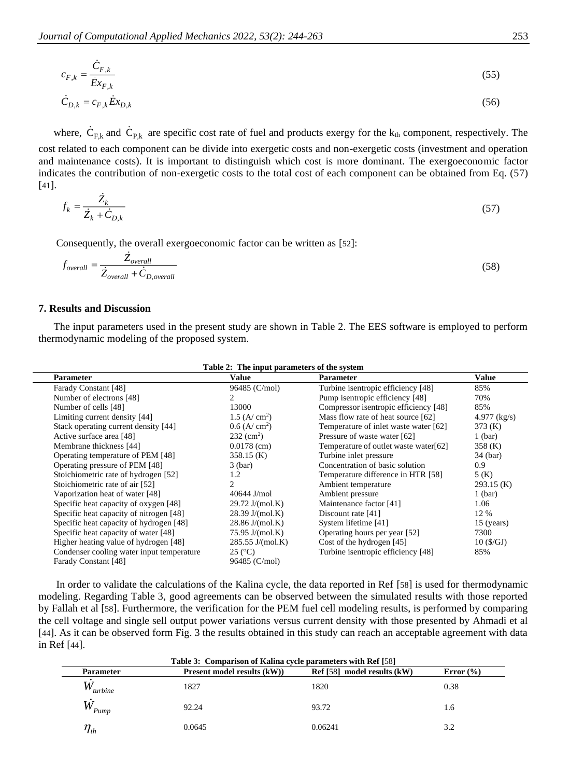$$
c_{F,k} = \frac{\dot{C}_{F,k}}{\dot{E}x_{F,k}}
$$
(55)  

$$
\dot{C}_{D,k} = c_{F,k}\dot{E}x_{D,k}
$$
(56)

where,  $C_{F,k}$  and  $C_{P,k}$  are specific cost rate of fuel and products exergy for the  $k_{th}$  component, respectively. The cost related to each component can be divide into exergetic costs and non-exergetic costs (investment and operation and maintenance costs). It is important to distinguish which cost is more dominant. The exergoeconomic factor indicates the contribution of non-exergetic costs to the total cost of each component can be obtained from Eq. (57) [[41](#page-18-1)].

$$
f_k = \frac{Z_k}{\dot{Z}_k + \dot{C}_{D,k}}\tag{57}
$$

Consequently, the overall exergoeconomic factor can be written as [[52](#page-18-12)]:

$$
f_{\text{overall}} = \frac{Z_{\text{overall}}}{Z_{\text{overall}} + C_{D,\text{overall}}}
$$
\n(58)

#### **7. Results and Discussion**

The input parameters used in the present study are shown in Table 2. The EES software is employed to perform thermodynamic modeling of the proposed system.

| Table 2: The input parameters of the system |                             |                                       |                |  |
|---------------------------------------------|-----------------------------|---------------------------------------|----------------|--|
| Parameter                                   | Value                       | <b>Parameter</b>                      | Value          |  |
| Farady Constant [48]                        | 96485 (C/mol)               | Turbine isentropic efficiency [48]    | 85%            |  |
| Number of electrons [48]                    |                             | Pump isentropic efficiency [48]       | 70%            |  |
| Number of cells [48]                        | 13000                       | Compressor isentropic efficiency [48] | 85%            |  |
| Limiting current density [44]               | $1.5$ (A/ cm <sup>2</sup> ) | Mass flow rate of heat source [62]    | $4.977$ (kg/s) |  |
| Stack operating current density [44]        | $0.6$ (A/ cm <sup>2</sup> ) | Temperature of inlet waste water [62] | 373(K)         |  |
| Active surface area [48]                    | $232 \text{ (cm}^2)$        | Pressure of waste water [62]          | $1$ (bar)      |  |
| Membrane thickness [44]                     | $0.0178$ (cm)               | Temperature of outlet waste water[62] | 358 (K)        |  |
| Operating temperature of PEM [48]           | $358.15$ (K)                | Turbine inlet pressure                | 34 (bar)       |  |
| Operating pressure of PEM [48]              | $3$ (bar)                   | Concentration of basic solution       | 0.9            |  |
| Stoichiometric rate of hydrogen [52]        | 1.2                         | Temperature difference in HTR [58]    | 5(K)           |  |
| Stoichiometric rate of air [52]             | $\mathfrak{D}$              | Ambient temperature                   | $293.15$ (K)   |  |
| Vaporization heat of water [48]             | $40644$ J/mol               | Ambient pressure                      | $1$ (bar)      |  |
| Specific heat capacity of oxygen [48]       | $29.72 \text{ J/(mol.K)}$   | Maintenance factor [41]               | 1.06           |  |
| Specific heat capacity of nitrogen [48]     | $28.39 \text{ J/(mol.K)}$   | Discount rate [41]                    | 12 %           |  |
| Specific heat capacity of hydrogen [48]     | $28.86$ J/(mol.K)           | System lifetime [41]                  | $15$ (years)   |  |
| Specific heat capacity of water [48]        | 75.95 J/(mol.K)             | Operating hours per year [52]         | 7300           |  |
| Higher heating value of hydrogen [48]       | $285.55$ J/(mol.K)          | Cost of the hydrogen [45]             | 10 (S/GJ)      |  |
| Condenser cooling water input temperature   | $25$ ( $^{\circ}$ C)        | Turbine isentropic efficiency [48]    | 85%            |  |
| Farady Constant [48]                        | 96485 (C/mol)               |                                       |                |  |

## In order to validate the calculations of the Kalina cycle, the data reported in Ref [[58](#page-18-15)] is used for thermodynamic modeling. Regarding Table 3, good agreements can be observed between the simulated results with those reported by Fallah et al [[58](#page-18-15)]. Furthermore, the verification for the PEM fuel cell modeling results, is performed by comparing the cell voltage and single sell output power variations versus current density with those presented by Ahmadi et al [[44](#page-18-4)]. As it can be observed form Fig. 3 the results obtained in this study can reach an acceptable agreement with data in Ref [[44](#page-18-4)].

| Table 3: Comparison of Kalina cycle parameters with Ref [58] |                             |                             |               |  |
|--------------------------------------------------------------|-----------------------------|-----------------------------|---------------|--|
| <b>Parameter</b>                                             | Present model results (kW)) | Ref [58] model results (kW) | Error $(\% )$ |  |
| $W_{turbine}$                                                | 1827                        | 1820                        | 0.38          |  |
| $W_{Pump}$                                                   | 92.24                       | 93.72                       | 1.6           |  |
| $\eta_{_{th}}$                                               | 0.0645                      | 0.06241                     | 3.2           |  |

## **Table 2: The input parameters of the system**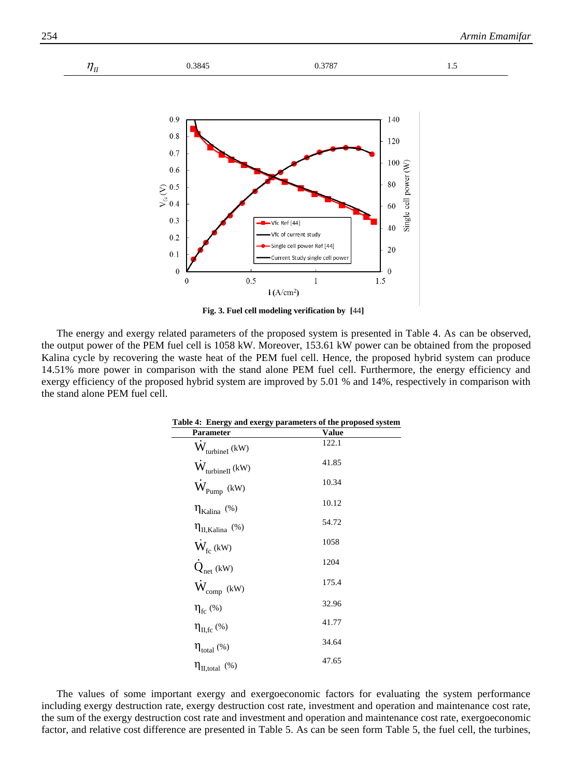

**Fig. 3. Fuel cell modeling verification by [**[44](#page-18-4)**]**

The energy and exergy related parameters of the proposed system is presented in Table 4. As can be observed, the output power of the PEM fuel cell is 1058 kW. Moreover, 153.61 kW power can be obtained from the proposed Kalina cycle by recovering the waste heat of the PEM fuel cell. Hence, the proposed hybrid system can produce 14.51% more power in comparison with the stand alone PEM fuel cell. Furthermore, the energy efficiency and exergy efficiency of the proposed hybrid system are improved by 5.01 % and 14%, respectively in comparison with the stand alone PEM fuel cell.

| Table 4: Energy and exergy parameters of the proposed system |       |  |  |
|--------------------------------------------------------------|-------|--|--|
| Parameter                                                    | Value |  |  |
| $W_{\text{turbinel}}$ (kW)                                   | 122.1 |  |  |
| $W_{\text{turbinel}}$ (kW)                                   | 41.85 |  |  |
| $W_{Pump}$ (kW)                                              | 10.34 |  |  |
| $\eta_{Kalina}$ (%)                                          | 10.12 |  |  |
| $\eta_{II,Kalina}$ (%)                                       | 54.72 |  |  |
| $\dot{W}_{\rm fc}$ (kW)                                      | 1058  |  |  |
| $\dot{Q}_{net}$ (kW)                                         | 1204  |  |  |
| $\dot{W}_{comp~(kW)}$                                        | 175.4 |  |  |
| $\eta_{\rm fc}$ (%)                                          | 32.96 |  |  |
| $\eta_{II,fc}$ (%)                                           | 41.77 |  |  |
| $\eta_{total}$ (%)                                           | 34.64 |  |  |
| $\eta_{II,total}$ (%)                                        | 47.65 |  |  |

The values of some important exergy and exergoeconomic factors for evaluating the system performance including exergy destruction rate, exergy destruction cost rate, investment and operation and maintenance cost rate, the sum of the exergy destruction cost rate and investment and operation and maintenance cost rate, exergoeconomic factor, and relative cost difference are presented in Table 5. As can be seen form Table 5, the fuel cell, the turbines,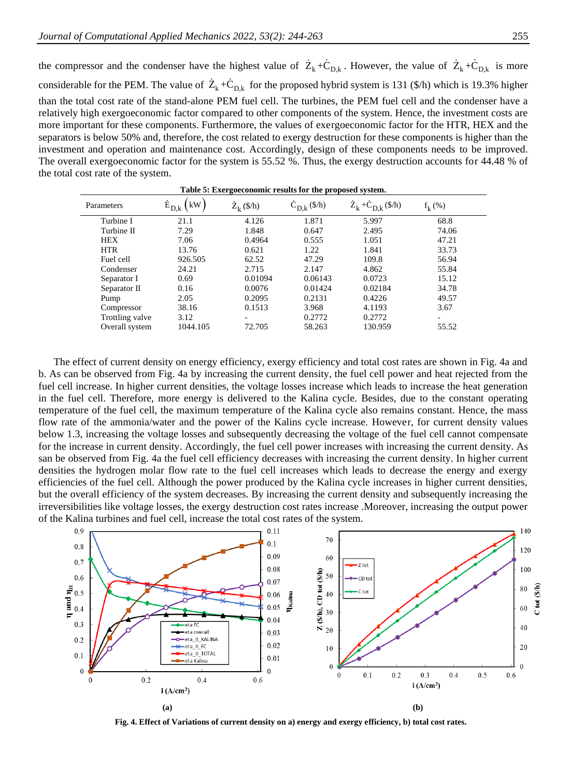the compressor and the condenser have the highest value of  $Z_k + C_{D,k}$ . However, the value of  $Z_k + C_{D,k}$  is more considerable for the PEM. The value of  $Z_k + C_{D,k}$  for the proposed hybrid system is 131 (\$/h) which is 19.3% higher than the total cost rate of the stand-alone PEM fuel cell. The turbines, the PEM fuel cell and the condenser have a relatively high exergoeconomic factor compared to other components of the system. Hence, the investment costs are more important for these components. Furthermore, the values of exergoeconomic factor for the HTR, HEX and the separators is below 50% and, therefore, the cost related to exergy destruction for these components is higher than the investment and operation and maintenance cost. Accordingly, design of these components needs to be improved. The overall exergoeconomic factor for the system is 55.52 %. Thus, the exergy destruction accounts for 44.48 % of the total cost rate of the system.

| Parameters      | kW<br>$E_{D,k}$ | $Z_k$ (\$/h) | $C_{D,k}$ (\$/h) | $Z_k + C_{D,k}$ (\$/h) | $f_k$ (%) |
|-----------------|-----------------|--------------|------------------|------------------------|-----------|
| Turbine I       | 21.1            | 4.126        | 1.871            | 5.997                  | 68.8      |
| Turbine II      | 7.29            | 1.848        | 0.647            | 2.495                  | 74.06     |
| <b>HEX</b>      | 7.06            | 0.4964       | 0.555            | 1.051                  | 47.21     |
| <b>HTR</b>      | 13.76           | 0.621        | 1.22             | 1.841                  | 33.73     |
| Fuel cell       | 926.505         | 62.52        | 47.29            | 109.8                  | 56.94     |
| Condenser       | 24.21           | 2.715        | 2.147            | 4.862                  | 55.84     |
| Separator I     | 0.69            | 0.01094      | 0.06143          | 0.0723                 | 15.12     |
| Separator II    | 0.16            | 0.0076       | 0.01424          | 0.02184                | 34.78     |
| Pump            | 2.05            | 0.2095       | 0.2131           | 0.4226                 | 49.57     |
| Compressor      | 38.16           | 0.1513       | 3.968            | 4.1193                 | 3.67      |
| Trottling valve | 3.12            | -            | 0.2772           | 0.2772                 | ٠         |
| Overall system  | 1044.105        | 72.705       | 58.263           | 130.959                | 55.52     |

**Table 5: Exergoeconomic results for the proposed system.**

The effect of current density on energy efficiency, exergy efficiency and total cost rates are shown in Fig. 4a and b. As can be observed from Fig. 4a by increasing the current density, the fuel cell power and heat rejected from the fuel cell increase. In higher current densities, the voltage losses increase which leads to increase the heat generation in the fuel cell. Therefore, more energy is delivered to the Kalina cycle. Besides, due to the constant operating temperature of the fuel cell, the maximum temperature of the Kalina cycle also remains constant. Hence, the mass flow rate of the ammonia/water and the power of the Kalins cycle increase. However, for current density values below 1.3, increasing the voltage losses and subsequently decreasing the voltage of the fuel cell cannot compensate for the increase in current density. Accordingly, the fuel cell power increases with increasing the current density. As san be observed from Fig. 4a the fuel cell efficiency decreases with increasing the current density. In higher current densities the hydrogen molar flow rate to the fuel cell increases which leads to decrease the energy and exergy efficiencies of the fuel cell. Although the power produced by the Kalina cycle increases in higher current densities, but the overall efficiency of the system decreases. By increasing the current density and subsequently increasing the irreversibilities like voltage losses, the exergy destruction cost rates increase .Moreover, increasing the output power of the Kalina turbines and fuel cell, increase the total cost rates of the system.



**Fig. 4. Effect of Variations of current density on a) energy and exergy efficiency, b) total cost rates.**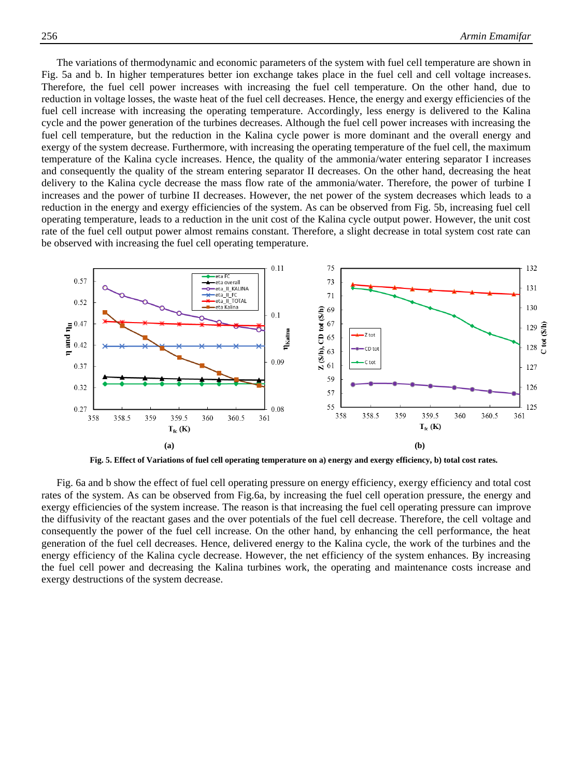The variations of thermodynamic and economic parameters of the system with fuel cell temperature are shown in Fig. 5a and b. In higher temperatures better ion exchange takes place in the fuel cell and cell voltage increases. Therefore, the fuel cell power increases with increasing the fuel cell temperature. On the other hand, due to reduction in voltage losses, the waste heat of the fuel cell decreases. Hence, the energy and exergy efficiencies of the fuel cell increase with increasing the operating temperature. Accordingly, less energy is delivered to the Kalina cycle and the power generation of the turbines decreases. Although the fuel cell power increases with increasing the fuel cell temperature, but the reduction in the Kalina cycle power is more dominant and the overall energy and exergy of the system decrease. Furthermore, with increasing the operating temperature of the fuel cell, the maximum temperature of the Kalina cycle increases. Hence, the quality of the ammonia/water entering separator I increases and consequently the quality of the stream entering separator II decreases. On the other hand, decreasing the heat delivery to the Kalina cycle decrease the mass flow rate of the ammonia/water. Therefore, the power of turbine I increases and the power of turbine II decreases. However, the net power of the system decreases which leads to a reduction in the energy and exergy efficiencies of the system. As can be observed from Fig. 5b, increasing fuel cell operating temperature, leads to a reduction in the unit cost of the Kalina cycle output power. However, the unit cost rate of the fuel cell output power almost remains constant. Therefore, a slight decrease in total system cost rate can be observed with increasing the fuel cell operating temperature.



**Fig. 5. Effect of Variations of fuel cell operating temperature on a) energy and exergy efficiency, b) total cost rates.**

Fig. 6a and b show the effect of fuel cell operating pressure on energy efficiency, exergy efficiency and total cost rates of the system. As can be observed from Fig.6a, by increasing the fuel cell operation pressure, the energy and exergy efficiencies of the system increase. The reason is that increasing the fuel cell operating pressure can improve the diffusivity of the reactant gases and the over potentials of the fuel cell decrease. Therefore, the cell voltage and consequently the power of the fuel cell increase. On the other hand, by enhancing the cell performance, the heat generation of the fuel cell decreases. Hence, delivered energy to the Kalina cycle, the work of the turbines and the energy efficiency of the Kalina cycle decrease. However, the net efficiency of the system enhances. By increasing the fuel cell power and decreasing the Kalina turbines work, the operating and maintenance costs increase and exergy destructions of the system decrease.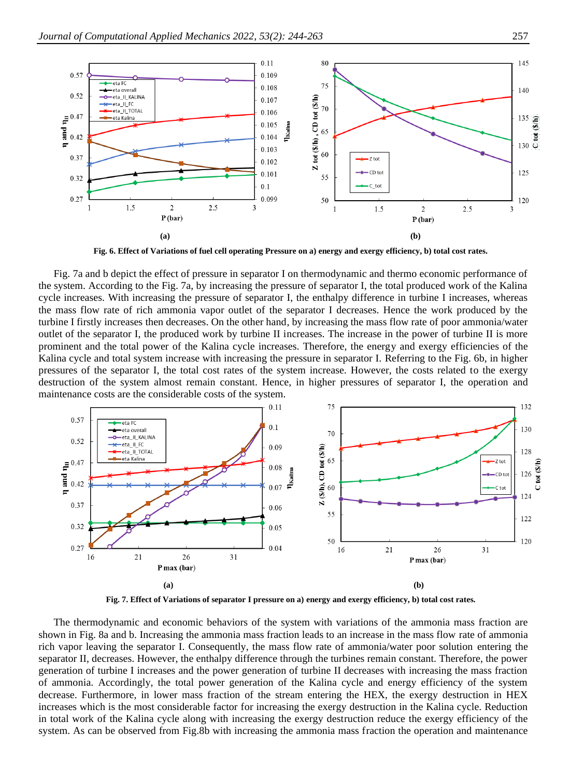

**Fig. 6. Effect of Variations of fuel cell operating Pressure on a) energy and exergy efficiency, b) total cost rates.**

Fig. 7a and b depict the effect of pressure in separator I on thermodynamic and thermo economic performance of the system. According to the Fig. 7a, by increasing the pressure of separator I, the total produced work of the Kalina cycle increases. With increasing the pressure of separator I, the enthalpy difference in turbine I increases, whereas the mass flow rate of rich ammonia vapor outlet of the separator I decreases. Hence the work produced by the turbine I firstly increases then decreases. On the other hand, by increasing the mass flow rate of poor ammonia/water outlet of the separator I, the produced work by turbine II increases. The increase in the power of turbine II is more prominent and the total power of the Kalina cycle increases. Therefore, the energy and exergy efficiencies of the Kalina cycle and total system increase with increasing the pressure in separator I. Referring to the Fig. 6b, in higher pressures of the separator I, the total cost rates of the system increase. However, the costs related to the exergy destruction of the system almost remain constant. Hence, in higher pressures of separator I, the operation and maintenance costs are the considerable costs of the system.



**Fig. 7. Effect of Variations of separator I pressure on a) energy and exergy efficiency, b) total cost rates.**

The thermodynamic and economic behaviors of the system with variations of the ammonia mass fraction are shown in Fig. 8a and b. Increasing the ammonia mass fraction leads to an increase in the mass flow rate of ammonia rich vapor leaving the separator I. Consequently, the mass flow rate of ammonia/water poor solution entering the separator II, decreases. However, the enthalpy difference through the turbines remain constant. Therefore, the power generation of turbine I increases and the power generation of turbine II decreases with increasing the mass fraction of ammonia. Accordingly, the total power generation of the Kalina cycle and energy efficiency of the system decrease. Furthermore, in lower mass fraction of the stream entering the HEX, the exergy destruction in HEX increases which is the most considerable factor for increasing the exergy destruction in the Kalina cycle. Reduction in total work of the Kalina cycle along with increasing the exergy destruction reduce the exergy efficiency of the system. As can be observed from Fig.8b with increasing the ammonia mass fraction the operation and maintenance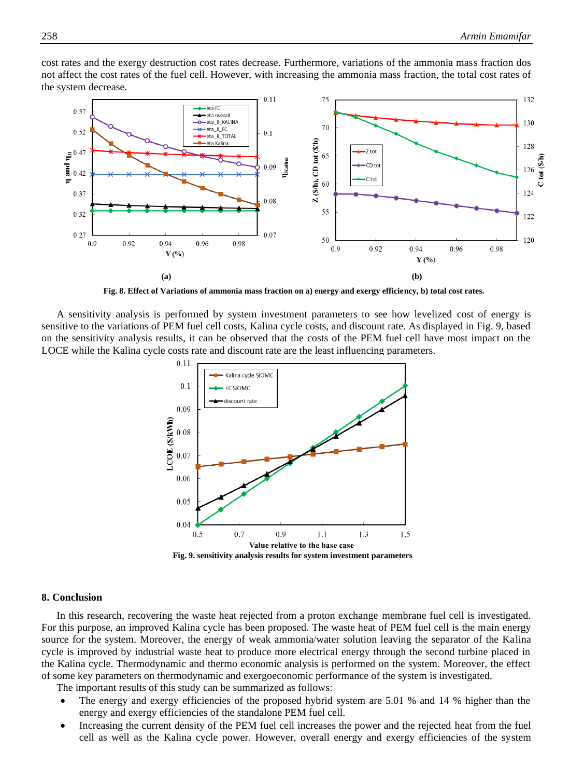

cost rates and the exergy destruction cost rates decrease. Furthermore, variations of the ammonia mass fraction dos not affect the cost rates of the fuel cell. However, with increasing the ammonia mass fraction, the total cost rates of the system decrease.

**Fig. 8. Effect of Variations of ammonia mass fraction on a) energy and exergy efficiency, b) total cost rates.**

A sensitivity analysis is performed by system investment parameters to see how levelized cost of energy is sensitive to the variations of PEM fuel cell costs, Kalina cycle costs, and discount rate. As displayed in Fig. 9, based on the sensitivity analysis results, it can be observed that the costs of the PEM fuel cell have most impact on the LOCE while the Kalina cycle costs rate and discount rate are the least influencing parameters.



#### **8. Conclusion**

In this research, recovering the waste heat rejected from a proton exchange membrane fuel cell is investigated. For this purpose, an improved Kalina cycle has been proposed. The waste heat of PEM fuel cell is the main energy source for the system. Moreover, the energy of weak ammonia/water solution leaving the separator of the Kalina cycle is improved by industrial waste heat to produce more electrical energy through the second turbine placed in the Kalina cycle. Thermodynamic and thermo economic analysis is performed on the system. Moreover, the effect of some key parameters on thermodynamic and exergoeconomic performance of the system is investigated.

The important results of this study can be summarized as follows:

- The energy and exergy efficiencies of the proposed hybrid system are 5.01 % and 14 % higher than the energy and exergy efficiencies of the standalone PEM fuel cell.
- Increasing the current density of the PEM fuel cell increases the power and the rejected heat from the fuel cell as well as the Kalina cycle power. However, overall energy and exergy efficiencies of the system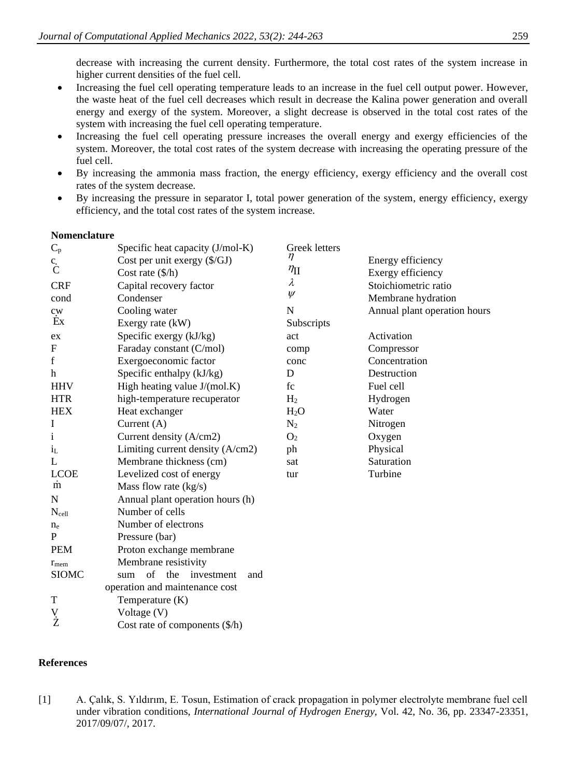decrease with increasing the current density. Furthermore, the total cost rates of the system increase in higher current densities of the fuel cell.

- Increasing the fuel cell operating temperature leads to an increase in the fuel cell output power. However, the waste heat of the fuel cell decreases which result in decrease the Kalina power generation and overall energy and exergy of the system. Moreover, a slight decrease is observed in the total cost rates of the system with increasing the fuel cell operating temperature.
- Increasing the fuel cell operating pressure increases the overall energy and exergy efficiencies of the system. Moreover, the total cost rates of the system decrease with increasing the operating pressure of the fuel cell.
- By increasing the ammonia mass fraction, the energy efficiency, exergy efficiency and the overall cost rates of the system decrease.
- By increasing the pressure in separator I, total power generation of the system, energy efficiency, exergy efficiency, and the total cost rates of the system increase.

### **Nomenclature**

| $\mathbf{C}_p$              | Specific heat capacity (J/mol-K)              | Greek letters    |                              |
|-----------------------------|-----------------------------------------------|------------------|------------------------------|
| $\ddot{c}$                  | Cost per unit exergy (\$/GJ)                  | η                | Energy efficiency            |
|                             | Cost rate $(\frac{6}{h})$                     | $\eta_{\rm II}$  | Exergy efficiency            |
| <b>CRF</b>                  | Capital recovery factor                       | $\lambda$        | Stoichiometric ratio         |
| cond                        | Condenser                                     | $\psi$           | Membrane hydration           |
| $c_{W}$                     | Cooling water                                 | N                | Annual plant operation hours |
| Ex                          | Exergy rate (kW)                              | Subscripts       |                              |
| ex                          | Specific exergy (kJ/kg)                       | act              | Activation                   |
| ${\bf F}$                   | Faraday constant (C/mol)                      | comp             | Compressor                   |
| $\mathbf f$                 | Exergoeconomic factor                         | conc             | Concentration                |
| h                           | Specific enthalpy (kJ/kg)                     | D                | Destruction                  |
| <b>HHV</b>                  | High heating value J/(mol.K)                  | fc               | Fuel cell                    |
| <b>HTR</b>                  | high-temperature recuperator                  | H <sub>2</sub>   | Hydrogen                     |
| <b>HEX</b>                  | Heat exchanger                                | H <sub>2</sub> O | Water                        |
| I                           | Current $(A)$                                 | $N_2$            | Nitrogen                     |
| $\mathbf{i}$                | Current density (A/cm2)                       | O <sub>2</sub>   | Oxygen                       |
| $i_{L}$                     | Limiting current density (A/cm2)              | ph               | Physical                     |
| L                           | Membrane thickness (cm)                       | sat              | Saturation                   |
| <b>LCOE</b>                 | Levelized cost of energy                      | tur              | Turbine                      |
| $\dot{m}$                   | Mass flow rate (kg/s)                         |                  |                              |
| N                           | Annual plant operation hours (h)              |                  |                              |
| $N_{cell}$                  | Number of cells                               |                  |                              |
| $n_e$                       | Number of electrons                           |                  |                              |
| P                           | Pressure (bar)                                |                  |                              |
| <b>PEM</b>                  | Proton exchange membrane                      |                  |                              |
| $r_{\text{mem}}$            | Membrane resistivity                          |                  |                              |
| <b>SIOMC</b>                | $\sigma$ f<br>the<br>investment<br>and<br>sum |                  |                              |
|                             | operation and maintenance cost                |                  |                              |
| $\mathbf T$                 | Temperature (K)                               |                  |                              |
| $\stackrel{\rm V}{\dot{Z}}$ | Voltage (V)                                   |                  |                              |
|                             | Cost rate of components $(\frac{6}{h})$       |                  |                              |

## **References**

<span id="page-15-0"></span>[1] A. Çalık, S. Yıldırım, E. Tosun, Estimation of crack propagation in polymer electrolyte membrane fuel cell under vibration conditions, *International Journal of Hydrogen Energy,* Vol. 42, No. 36, pp. 23347-23351, 2017/09/07/, 2017.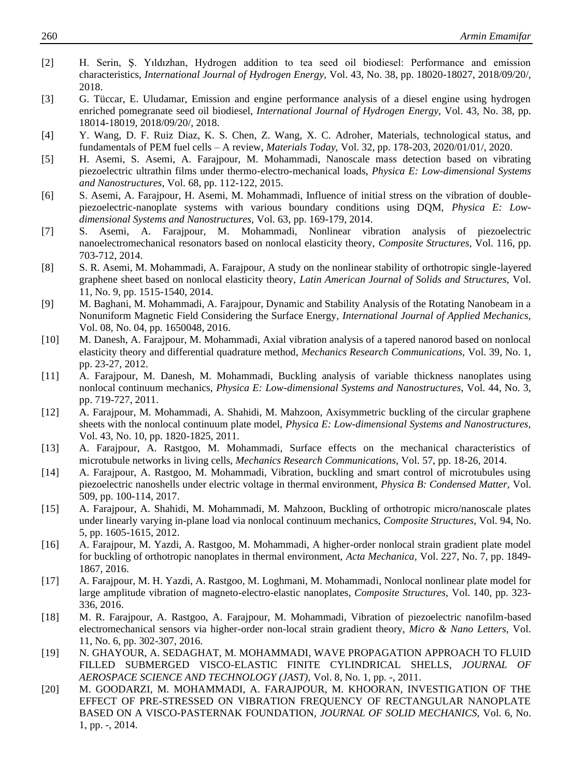- [2] H. Serin, Ş. Yıldızhan, Hydrogen addition to tea seed oil biodiesel: Performance and emission characteristics, *International Journal of Hydrogen Energy,* Vol. 43, No. 38, pp. 18020-18027, 2018/09/20/, 2018.
- [3] G. Tüccar, E. Uludamar, Emission and engine performance analysis of a diesel engine using hydrogen enriched pomegranate seed oil biodiesel, *International Journal of Hydrogen Energy,* Vol. 43, No. 38, pp. 18014-18019, 2018/09/20/, 2018.
- <span id="page-16-0"></span>[4] Y. Wang, D. F. Ruiz Diaz, K. S. Chen, Z. Wang, X. C. Adroher, Materials, technological status, and fundamentals of PEM fuel cells – A review, *Materials Today,* Vol. 32, pp. 178-203, 2020/01/01/, 2020.
- <span id="page-16-1"></span>[5] H. Asemi, S. Asemi, A. Farajpour, M. Mohammadi, Nanoscale mass detection based on vibrating piezoelectric ultrathin films under thermo-electro-mechanical loads, *Physica E: Low-dimensional Systems and Nanostructures,* Vol. 68, pp. 112-122, 2015.
- [6] S. Asemi, A. Farajpour, H. Asemi, M. Mohammadi, Influence of initial stress on the vibration of doublepiezoelectric-nanoplate systems with various boundary conditions using DQM, *Physica E: Lowdimensional Systems and Nanostructures,* Vol. 63, pp. 169-179, 2014.
- [7] S. Asemi, A. Farajpour, M. Mohammadi, Nonlinear vibration analysis of piezoelectric nanoelectromechanical resonators based on nonlocal elasticity theory, *Composite Structures,* Vol. 116, pp. 703-712, 2014.
- [8] S. R. Asemi, M. Mohammadi, A. Farajpour, A study on the nonlinear stability of orthotropic single-layered graphene sheet based on nonlocal elasticity theory, *Latin American Journal of Solids and Structures,* Vol. 11, No. 9, pp. 1515-1540, 2014.
- [9] M. Baghani, M. Mohammadi, A. Farajpour, Dynamic and Stability Analysis of the Rotating Nanobeam in a Nonuniform Magnetic Field Considering the Surface Energy, *International Journal of Applied Mechanics,* Vol. 08, No. 04, pp. 1650048, 2016.
- [10] M. Danesh, A. Farajpour, M. Mohammadi, Axial vibration analysis of a tapered nanorod based on nonlocal elasticity theory and differential quadrature method, *Mechanics Research Communications,* Vol. 39, No. 1, pp. 23-27, 2012.
- [11] A. Farajpour, M. Danesh, M. Mohammadi, Buckling analysis of variable thickness nanoplates using nonlocal continuum mechanics, *Physica E: Low-dimensional Systems and Nanostructures,* Vol. 44, No. 3, pp. 719-727, 2011.
- [12] A. Farajpour, M. Mohammadi, A. Shahidi, M. Mahzoon, Axisymmetric buckling of the circular graphene sheets with the nonlocal continuum plate model, *Physica E: Low-dimensional Systems and Nanostructures,* Vol. 43, No. 10, pp. 1820-1825, 2011.
- [13] A. Farajpour, A. Rastgoo, M. Mohammadi, Surface effects on the mechanical characteristics of microtubule networks in living cells, *Mechanics Research Communications,* Vol. 57, pp. 18-26, 2014.
- [14] A. Farajpour, A. Rastgoo, M. Mohammadi, Vibration, buckling and smart control of microtubules using piezoelectric nanoshells under electric voltage in thermal environment, *Physica B: Condensed Matter,* Vol. 509, pp. 100-114, 2017.
- [15] A. Farajpour, A. Shahidi, M. Mohammadi, M. Mahzoon, Buckling of orthotropic micro/nanoscale plates under linearly varying in-plane load via nonlocal continuum mechanics, *Composite Structures,* Vol. 94, No. 5, pp. 1605-1615, 2012.
- [16] A. Farajpour, M. Yazdi, A. Rastgoo, M. Mohammadi, A higher-order nonlocal strain gradient plate model for buckling of orthotropic nanoplates in thermal environment, *Acta Mechanica,* Vol. 227, No. 7, pp. 1849- 1867, 2016.
- [17] A. Farajpour, M. H. Yazdi, A. Rastgoo, M. Loghmani, M. Mohammadi, Nonlocal nonlinear plate model for large amplitude vibration of magneto-electro-elastic nanoplates, *Composite Structures,* Vol. 140, pp. 323- 336, 2016.
- [18] M. R. Farajpour, A. Rastgoo, A. Farajpour, M. Mohammadi, Vibration of piezoelectric nanofilm-based electromechanical sensors via higher-order non-local strain gradient theory, *Micro & Nano Letters,* Vol. 11, No. 6, pp. 302-307, 2016.
- [19] N. GHAYOUR, A. SEDAGHAT, M. MOHAMMADI, WAVE PROPAGATION APPROACH TO FLUID FILLED SUBMERGED VISCO-ELASTIC FINITE CYLINDRICAL SHELLS, *JOURNAL OF AEROSPACE SCIENCE AND TECHNOLOGY (JAST),* Vol. 8, No. 1, pp. -, 2011.
- [20] M. GOODARZI, M. MOHAMMADI, A. FARAJPOUR, M. KHOORAN, INVESTIGATION OF THE EFFECT OF PRE-STRESSED ON VIBRATION FREQUENCY OF RECTANGULAR NANOPLATE BASED ON A VISCO-PASTERNAK FOUNDATION, *JOURNAL OF SOLID MECHANICS,* Vol. 6, No. 1, pp. -, 2014.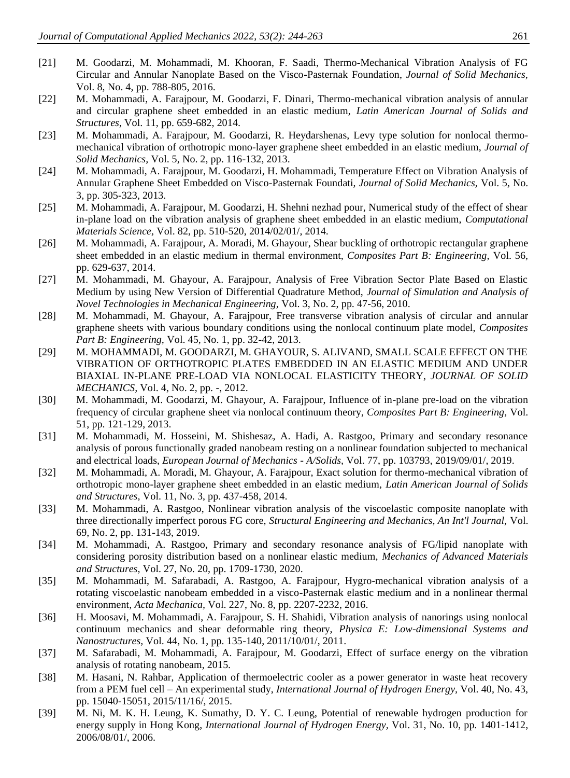- [21] M. Goodarzi, M. Mohammadi, M. Khooran, F. Saadi, Thermo-Mechanical Vibration Analysis of FG Circular and Annular Nanoplate Based on the Visco-Pasternak Foundation, *Journal of Solid Mechanics,* Vol. 8, No. 4, pp. 788-805, 2016.
- [22] M. Mohammadi, A. Farajpour, M. Goodarzi, F. Dinari, Thermo-mechanical vibration analysis of annular and circular graphene sheet embedded in an elastic medium, *Latin American Journal of Solids and Structures,* Vol. 11, pp. 659-682, 2014.
- [23] M. Mohammadi, A. Farajpour, M. Goodarzi, R. Heydarshenas, Levy type solution for nonlocal thermomechanical vibration of orthotropic mono-layer graphene sheet embedded in an elastic medium, *Journal of Solid Mechanics,* Vol. 5, No. 2, pp. 116-132, 2013.
- [24] M. Mohammadi, A. Farajpour, M. Goodarzi, H. Mohammadi, Temperature Effect on Vibration Analysis of Annular Graphene Sheet Embedded on Visco-Pasternak Foundati, *Journal of Solid Mechanics,* Vol. 5, No. 3, pp. 305-323, 2013.
- [25] M. Mohammadi, A. Farajpour, M. Goodarzi, H. Shehni nezhad pour, Numerical study of the effect of shear in-plane load on the vibration analysis of graphene sheet embedded in an elastic medium, *Computational Materials Science,* Vol. 82, pp. 510-520, 2014/02/01/, 2014.
- [26] M. Mohammadi, A. Farajpour, A. Moradi, M. Ghayour, Shear buckling of orthotropic rectangular graphene sheet embedded in an elastic medium in thermal environment, *Composites Part B: Engineering,* Vol. 56, pp. 629-637, 2014.
- [27] M. Mohammadi, M. Ghayour, A. Farajpour, Analysis of Free Vibration Sector Plate Based on Elastic Medium by using New Version of Differential Quadrature Method, *Journal of Simulation and Analysis of Novel Technologies in Mechanical Engineering,* Vol. 3, No. 2, pp. 47-56, 2010.
- [28] M. Mohammadi, M. Ghayour, A. Farajpour, Free transverse vibration analysis of circular and annular graphene sheets with various boundary conditions using the nonlocal continuum plate model, *Composites Part B: Engineering,* Vol. 45, No. 1, pp. 32-42, 2013.
- [29] M. MOHAMMADI, M. GOODARZI, M. GHAYOUR, S. ALIVAND, SMALL SCALE EFFECT ON THE VIBRATION OF ORTHOTROPIC PLATES EMBEDDED IN AN ELASTIC MEDIUM AND UNDER BIAXIAL IN-PLANE PRE-LOAD VIA NONLOCAL ELASTICITY THEORY, *JOURNAL OF SOLID MECHANICS,* Vol. 4, No. 2, pp. -, 2012.
- [30] M. Mohammadi, M. Goodarzi, M. Ghayour, A. Farajpour, Influence of in-plane pre-load on the vibration frequency of circular graphene sheet via nonlocal continuum theory, *Composites Part B: Engineering,* Vol. 51, pp. 121-129, 2013.
- [31] M. Mohammadi, M. Hosseini, M. Shishesaz, A. Hadi, A. Rastgoo, Primary and secondary resonance analysis of porous functionally graded nanobeam resting on a nonlinear foundation subjected to mechanical and electrical loads, *European Journal of Mechanics - A/Solids,* Vol. 77, pp. 103793, 2019/09/01/, 2019.
- [32] M. Mohammadi, A. Moradi, M. Ghayour, A. Farajpour, Exact solution for thermo-mechanical vibration of orthotropic mono-layer graphene sheet embedded in an elastic medium, *Latin American Journal of Solids and Structures,* Vol. 11, No. 3, pp. 437-458, 2014.
- [33] M. Mohammadi, A. Rastgoo, Nonlinear vibration analysis of the viscoelastic composite nanoplate with three directionally imperfect porous FG core, *Structural Engineering and Mechanics, An Int'l Journal,* Vol. 69, No. 2, pp. 131-143, 2019.
- [34] M. Mohammadi, A. Rastgoo, Primary and secondary resonance analysis of FG/lipid nanoplate with considering porosity distribution based on a nonlinear elastic medium, *Mechanics of Advanced Materials and Structures,* Vol. 27, No. 20, pp. 1709-1730, 2020.
- [35] M. Mohammadi, M. Safarabadi, A. Rastgoo, A. Farajpour, Hygro-mechanical vibration analysis of a rotating viscoelastic nanobeam embedded in a visco-Pasternak elastic medium and in a nonlinear thermal environment, *Acta Mechanica,* Vol. 227, No. 8, pp. 2207-2232, 2016.
- [36] H. Moosavi, M. Mohammadi, A. Farajpour, S. H. Shahidi, Vibration analysis of nanorings using nonlocal continuum mechanics and shear deformable ring theory, *Physica E: Low-dimensional Systems and Nanostructures,* Vol. 44, No. 1, pp. 135-140, 2011/10/01/, 2011.
- [37] M. Safarabadi, M. Mohammadi, A. Farajpour, M. Goodarzi, Effect of surface energy on the vibration analysis of rotating nanobeam, 2015.
- <span id="page-17-0"></span>[38] M. Hasani, N. Rahbar, Application of thermoelectric cooler as a power generator in waste heat recovery from a PEM fuel cell – An experimental study, *International Journal of Hydrogen Energy,* Vol. 40, No. 43, pp. 15040-15051, 2015/11/16/, 2015.
- <span id="page-17-1"></span>[39] M. Ni, M. K. H. Leung, K. Sumathy, D. Y. C. Leung, Potential of renewable hydrogen production for energy supply in Hong Kong, *International Journal of Hydrogen Energy,* Vol. 31, No. 10, pp. 1401-1412, 2006/08/01/, 2006.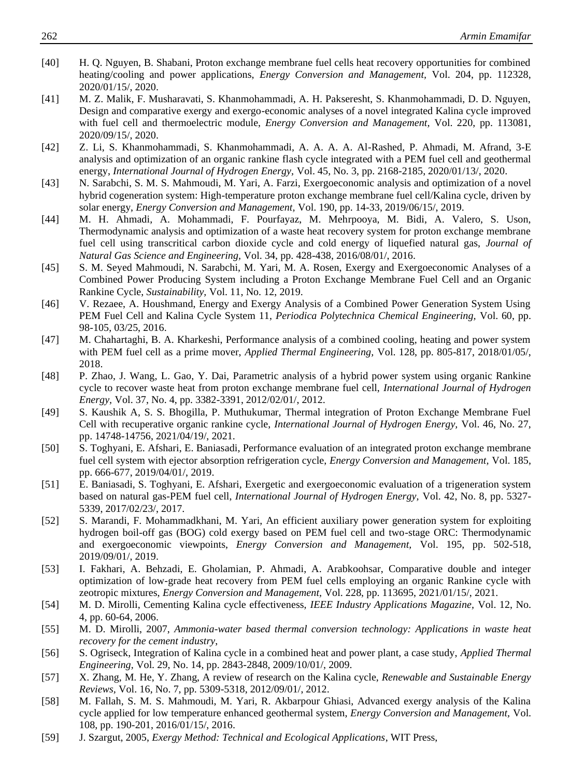- <span id="page-18-0"></span>[40] H. Q. Nguyen, B. Shabani, Proton exchange membrane fuel cells heat recovery opportunities for combined heating/cooling and power applications, *Energy Conversion and Management,* Vol. 204, pp. 112328, 2020/01/15/, 2020.
- <span id="page-18-1"></span>[41] M. Z. Malik, F. Musharavati, S. Khanmohammadi, A. H. Pakseresht, S. Khanmohammadi, D. D. Nguyen, Design and comparative exergy and exergo-economic analyses of a novel integrated Kalina cycle improved with fuel cell and thermoelectric module, *Energy Conversion and Management,* Vol. 220, pp. 113081, 2020/09/15/, 2020.
- <span id="page-18-2"></span>[42] Z. Li, S. Khanmohammadi, S. Khanmohammadi, A. A. A. A. Al-Rashed, P. Ahmadi, M. Afrand, 3-E analysis and optimization of an organic rankine flash cycle integrated with a PEM fuel cell and geothermal energy, *International Journal of Hydrogen Energy,* Vol. 45, No. 3, pp. 2168-2185, 2020/01/13/, 2020.
- <span id="page-18-3"></span>[43] N. Sarabchi, S. M. S. Mahmoudi, M. Yari, A. Farzi, Exergoeconomic analysis and optimization of a novel hybrid cogeneration system: High-temperature proton exchange membrane fuel cell/Kalina cycle, driven by solar energy, *Energy Conversion and Management,* Vol. 190, pp. 14-33, 2019/06/15/, 2019.
- <span id="page-18-4"></span>[44] M. H. Ahmadi, A. Mohammadi, F. Pourfayaz, M. Mehrpooya, M. Bidi, A. Valero, S. Uson, Thermodynamic analysis and optimization of a waste heat recovery system for proton exchange membrane fuel cell using transcritical carbon dioxide cycle and cold energy of liquefied natural gas, *Journal of Natural Gas Science and Engineering,* Vol. 34, pp. 428-438, 2016/08/01/, 2016.
- <span id="page-18-5"></span>[45] S. M. Seyed Mahmoudi, N. Sarabchi, M. Yari, M. A. Rosen, Exergy and Exergoeconomic Analyses of a Combined Power Producing System including a Proton Exchange Membrane Fuel Cell and an Organic Rankine Cycle, *Sustainability,* Vol. 11, No. 12, 2019.
- <span id="page-18-6"></span>[46] V. Rezaee, A. Houshmand, Energy and Exergy Analysis of a Combined Power Generation System Using PEM Fuel Cell and Kalina Cycle System 11, *Periodica Polytechnica Chemical Engineering,* Vol. 60, pp. 98-105, 03/25, 2016.
- <span id="page-18-7"></span>[47] M. Chahartaghi, B. A. Kharkeshi, Performance analysis of a combined cooling, heating and power system with PEM fuel cell as a prime mover, *Applied Thermal Engineering,* Vol. 128, pp. 805-817, 2018/01/05/, 2018.
- <span id="page-18-8"></span>[48] P. Zhao, J. Wang, L. Gao, Y. Dai, Parametric analysis of a hybrid power system using organic Rankine cycle to recover waste heat from proton exchange membrane fuel cell, *International Journal of Hydrogen Energy,* Vol. 37, No. 4, pp. 3382-3391, 2012/02/01/, 2012.
- <span id="page-18-9"></span>[49] S. Kaushik A, S. S. Bhogilla, P. Muthukumar, Thermal integration of Proton Exchange Membrane Fuel Cell with recuperative organic rankine cycle, *International Journal of Hydrogen Energy,* Vol. 46, No. 27, pp. 14748-14756, 2021/04/19/, 2021.
- <span id="page-18-10"></span>[50] S. Toghyani, E. Afshari, E. Baniasadi, Performance evaluation of an integrated proton exchange membrane fuel cell system with ejector absorption refrigeration cycle, *Energy Conversion and Management,* Vol. 185, pp. 666-677, 2019/04/01/, 2019.
- <span id="page-18-11"></span>[51] E. Baniasadi, S. Toghyani, E. Afshari, Exergetic and exergoeconomic evaluation of a trigeneration system based on natural gas-PEM fuel cell, *International Journal of Hydrogen Energy,* Vol. 42, No. 8, pp. 5327- 5339, 2017/02/23/, 2017.
- <span id="page-18-12"></span>[52] S. Marandi, F. Mohammadkhani, M. Yari, An efficient auxiliary power generation system for exploiting hydrogen boil-off gas (BOG) cold exergy based on PEM fuel cell and two-stage ORC: Thermodynamic and exergoeconomic viewpoints, *Energy Conversion and Management,* Vol. 195, pp. 502-518, 2019/09/01/, 2019.
- <span id="page-18-13"></span>[53] I. Fakhari, A. Behzadi, E. Gholamian, P. Ahmadi, A. Arabkoohsar, Comparative double and integer optimization of low-grade heat recovery from PEM fuel cells employing an organic Rankine cycle with zeotropic mixtures, *Energy Conversion and Management,* Vol. 228, pp. 113695, 2021/01/15/, 2021.
- <span id="page-18-14"></span>[54] M. D. Mirolli, Cementing Kalina cycle effectiveness, *IEEE Industry Applications Magazine,* Vol. 12, No. 4, pp. 60-64, 2006.
- [55] M. D. Mirolli, 2007, *Ammonia-water based thermal conversion technology: Applications in waste heat recovery for the cement industry*,
- [56] S. Ogriseck, Integration of Kalina cycle in a combined heat and power plant, a case study, *Applied Thermal Engineering,* Vol. 29, No. 14, pp. 2843-2848, 2009/10/01/, 2009.
- [57] X. Zhang, M. He, Y. Zhang, A review of research on the Kalina cycle, *Renewable and Sustainable Energy Reviews,* Vol. 16, No. 7, pp. 5309-5318, 2012/09/01/, 2012.
- <span id="page-18-15"></span>[58] M. Fallah, S. M. S. Mahmoudi, M. Yari, R. Akbarpour Ghiasi, Advanced exergy analysis of the Kalina cycle applied for low temperature enhanced geothermal system, *Energy Conversion and Management,* Vol. 108, pp. 190-201, 2016/01/15/, 2016.
- <span id="page-18-16"></span>[59] J. Szargut, 2005, *Exergy Method: Technical and Ecological Applications*, WIT Press,